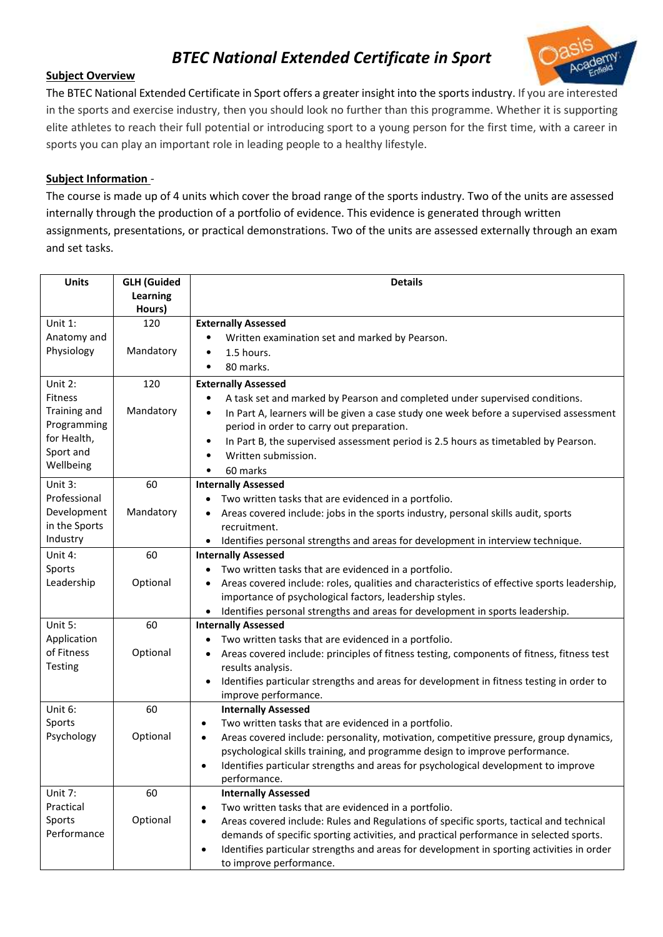# *BTEC National Extended Certificate in Sport*



## **Subject Overview**

The BTEC National Extended Certificate in Sport offers a greater insight into the sports industry. If you are interested in the sports and exercise industry, then you should look no further than this programme. Whether it is supporting elite athletes to reach their full potential or introducing sport to a young person for the first time, with a career in sports you can play an important role in leading people to a healthy lifestyle.

## **Subject Information** *-*

The course is made up of 4 units which cover the broad range of the sports industry. Two of the units are assessed internally through the production of a portfolio of evidence. This evidence is generated through written assignments, presentations, or practical demonstrations. Two of the units are assessed externally through an exam and set tasks.

| <b>Units</b>              | <b>GLH (Guided</b> | <b>Details</b>                                                                                               |
|---------------------------|--------------------|--------------------------------------------------------------------------------------------------------------|
|                           | Learning           |                                                                                                              |
| Unit 1:                   | Hours)<br>120      | <b>Externally Assessed</b>                                                                                   |
| Anatomy and               |                    | Written examination set and marked by Pearson.<br>$\bullet$                                                  |
| Physiology                | Mandatory          | 1.5 hours.<br>$\bullet$                                                                                      |
|                           |                    | 80 marks.<br>$\bullet$                                                                                       |
|                           |                    |                                                                                                              |
| Unit 2:<br><b>Fitness</b> | 120                | <b>Externally Assessed</b>                                                                                   |
| Training and              | Mandatory          | A task set and marked by Pearson and completed under supervised conditions.<br>$\bullet$                     |
| Programming               |                    | In Part A, learners will be given a case study one week before a supervised assessment<br>$\bullet$          |
| for Health,               |                    | period in order to carry out preparation.                                                                    |
| Sport and                 |                    | In Part B, the supervised assessment period is 2.5 hours as timetabled by Pearson.<br>$\bullet$<br>$\bullet$ |
| Wellbeing                 |                    | Written submission.                                                                                          |
| Unit 3:                   | 60                 | 60 marks<br>$\bullet$                                                                                        |
| Professional              |                    | <b>Internally Assessed</b><br>Two written tasks that are evidenced in a portfolio.<br>٠                      |
| Development               | Mandatory          | Areas covered include: jobs in the sports industry, personal skills audit, sports                            |
| in the Sports             |                    | recruitment.                                                                                                 |
| Industry                  |                    | • Identifies personal strengths and areas for development in interview technique.                            |
| Unit 4:                   | 60                 | <b>Internally Assessed</b>                                                                                   |
| Sports                    |                    | Two written tasks that are evidenced in a portfolio.<br>٠                                                    |
| Leadership                | Optional           | Areas covered include: roles, qualities and characteristics of effective sports leadership,<br>$\bullet$     |
|                           |                    | importance of psychological factors, leadership styles.                                                      |
|                           |                    | Identifies personal strengths and areas for development in sports leadership.                                |
| Unit 5:                   | 60                 | <b>Internally Assessed</b>                                                                                   |
| Application               |                    | Two written tasks that are evidenced in a portfolio.                                                         |
| of Fitness                | Optional           | Areas covered include: principles of fitness testing, components of fitness, fitness test                    |
| <b>Testing</b>            |                    | results analysis.                                                                                            |
|                           |                    | Identifies particular strengths and areas for development in fitness testing in order to<br>$\bullet$        |
|                           |                    | improve performance.                                                                                         |
| Unit 6:                   | 60                 | <b>Internally Assessed</b>                                                                                   |
| Sports                    |                    | Two written tasks that are evidenced in a portfolio.<br>٠                                                    |
| Psychology                | Optional           | Areas covered include: personality, motivation, competitive pressure, group dynamics,<br>$\bullet$           |
|                           |                    | psychological skills training, and programme design to improve performance.                                  |
|                           |                    | Identifies particular strengths and areas for psychological development to improve<br>performance.           |
| Unit 7:                   | 60                 | <b>Internally Assessed</b>                                                                                   |
| Practical                 |                    | Two written tasks that are evidenced in a portfolio.                                                         |
| Sports                    | Optional           | Areas covered include: Rules and Regulations of specific sports, tactical and technical                      |
| Performance               |                    | demands of specific sporting activities, and practical performance in selected sports.                       |
|                           |                    | Identifies particular strengths and areas for development in sporting activities in order<br>$\bullet$       |
|                           |                    | to improve performance.                                                                                      |